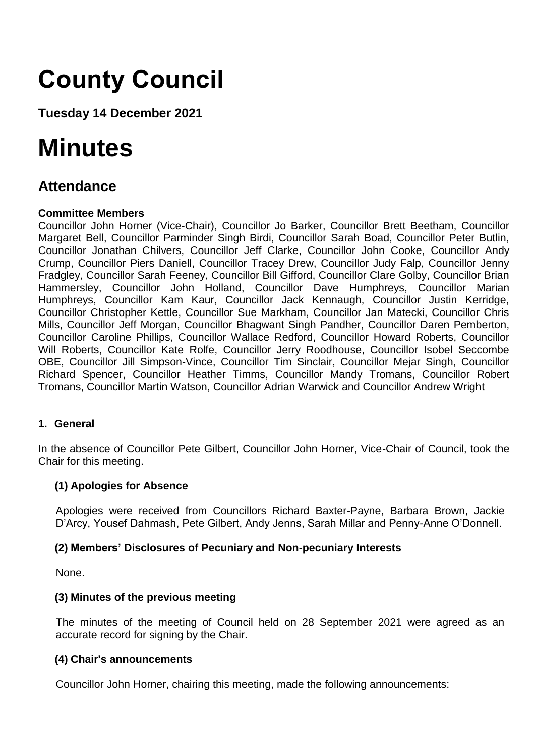# **County Council**

**Tuesday 14 December 2021**

## **Minutes**

## **Attendance**

## **Committee Members**

Councillor John Horner (Vice-Chair), Councillor Jo Barker, Councillor Brett Beetham, Councillor Margaret Bell, Councillor Parminder Singh Birdi, Councillor Sarah Boad, Councillor Peter Butlin, Councillor Jonathan Chilvers, Councillor Jeff Clarke, Councillor John Cooke, Councillor Andy Crump, Councillor Piers Daniell, Councillor Tracey Drew, Councillor Judy Falp, Councillor Jenny Fradgley, Councillor Sarah Feeney, Councillor Bill Gifford, Councillor Clare Golby, Councillor Brian Hammersley, Councillor John Holland, Councillor Dave Humphreys, Councillor Marian Humphreys, Councillor Kam Kaur, Councillor Jack Kennaugh, Councillor Justin Kerridge, Councillor Christopher Kettle, Councillor Sue Markham, Councillor Jan Matecki, Councillor Chris Mills, Councillor Jeff Morgan, Councillor Bhagwant Singh Pandher, Councillor Daren Pemberton, Councillor Caroline Phillips, Councillor Wallace Redford, Councillor Howard Roberts, Councillor Will Roberts, Councillor Kate Rolfe, Councillor Jerry Roodhouse, Councillor Isobel Seccombe OBE, Councillor Jill Simpson-Vince, Councillor Tim Sinclair, Councillor Mejar Singh, Councillor Richard Spencer, Councillor Heather Timms, Councillor Mandy Tromans, Councillor Robert Tromans, Councillor Martin Watson, Councillor Adrian Warwick and Councillor Andrew Wright

## **1. General**

In the absence of Councillor Pete Gilbert, Councillor John Horner, Vice-Chair of Council, took the Chair for this meeting.

## **(1) Apologies for Absence**

Apologies were received from Councillors Richard Baxter-Payne, Barbara Brown, Jackie D'Arcy, Yousef Dahmash, Pete Gilbert, Andy Jenns, Sarah Millar and Penny-Anne O'Donnell.

## **(2) Members' Disclosures of Pecuniary and Non-pecuniary Interests**

None.

## **(3) Minutes of the previous meeting**

The minutes of the meeting of Council held on 28 September 2021 were agreed as an accurate record for signing by the Chair.

## **(4) Chair's announcements**

Councillor John Horner, chairing this meeting, made the following announcements: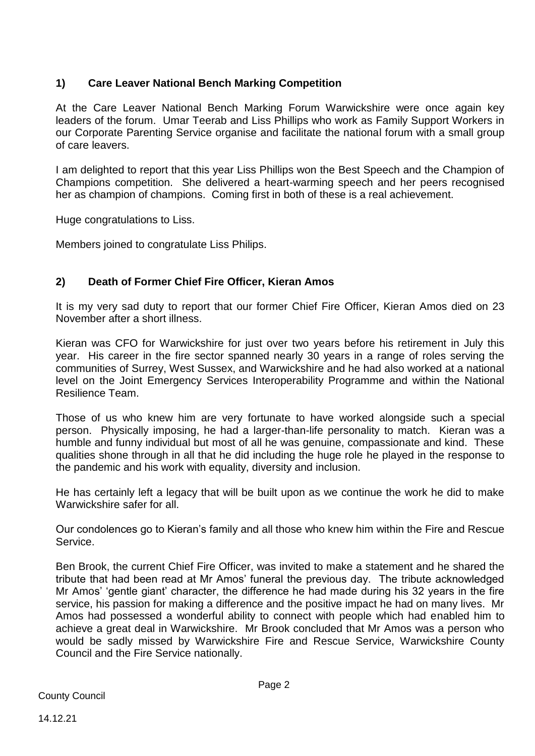## **1) Care Leaver National Bench Marking Competition**

At the Care Leaver National Bench Marking Forum Warwickshire were once again key leaders of the forum. Umar Teerab and Liss Phillips who work as Family Support Workers in our Corporate Parenting Service organise and facilitate the national forum with a small group of care leavers.

I am delighted to report that this year Liss Phillips won the Best Speech and the Champion of Champions competition. She delivered a heart-warming speech and her peers recognised her as champion of champions. Coming first in both of these is a real achievement.

Huge congratulations to Liss.

Members joined to congratulate Liss Philips.

## **2) Death of Former Chief Fire Officer, Kieran Amos**

It is my very sad duty to report that our former Chief Fire Officer, Kieran Amos died on 23 November after a short illness.

Kieran was CFO for Warwickshire for just over two years before his retirement in July this year. His career in the fire sector spanned nearly 30 years in a range of roles serving the communities of Surrey, West Sussex, and Warwickshire and he had also worked at a national level on the Joint Emergency Services Interoperability Programme and within the National Resilience Team.

Those of us who knew him are very fortunate to have worked alongside such a special person. Physically imposing, he had a larger-than-life personality to match. Kieran was a humble and funny individual but most of all he was genuine, compassionate and kind. These qualities shone through in all that he did including the huge role he played in the response to the pandemic and his work with equality, diversity and inclusion.

He has certainly left a legacy that will be built upon as we continue the work he did to make Warwickshire safer for all.

Our condolences go to Kieran's family and all those who knew him within the Fire and Rescue Service.

Ben Brook, the current Chief Fire Officer, was invited to make a statement and he shared the tribute that had been read at Mr Amos' funeral the previous day. The tribute acknowledged Mr Amos' 'gentle giant' character, the difference he had made during his 32 years in the fire service, his passion for making a difference and the positive impact he had on many lives. Mr Amos had possessed a wonderful ability to connect with people which had enabled him to achieve a great deal in Warwickshire. Mr Brook concluded that Mr Amos was a person who would be sadly missed by Warwickshire Fire and Rescue Service, Warwickshire County Council and the Fire Service nationally.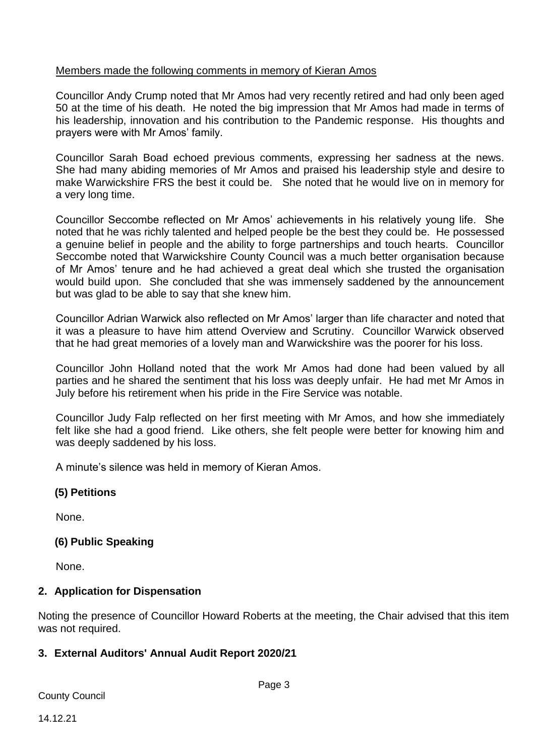## Members made the following comments in memory of Kieran Amos

Councillor Andy Crump noted that Mr Amos had very recently retired and had only been aged 50 at the time of his death. He noted the big impression that Mr Amos had made in terms of his leadership, innovation and his contribution to the Pandemic response. His thoughts and prayers were with Mr Amos' family.

Councillor Sarah Boad echoed previous comments, expressing her sadness at the news. She had many abiding memories of Mr Amos and praised his leadership style and desire to make Warwickshire FRS the best it could be. She noted that he would live on in memory for a very long time.

Councillor Seccombe reflected on Mr Amos' achievements in his relatively young life. She noted that he was richly talented and helped people be the best they could be. He possessed a genuine belief in people and the ability to forge partnerships and touch hearts. Councillor Seccombe noted that Warwickshire County Council was a much better organisation because of Mr Amos' tenure and he had achieved a great deal which she trusted the organisation would build upon. She concluded that she was immensely saddened by the announcement but was glad to be able to say that she knew him.

Councillor Adrian Warwick also reflected on Mr Amos' larger than life character and noted that it was a pleasure to have him attend Overview and Scrutiny. Councillor Warwick observed that he had great memories of a lovely man and Warwickshire was the poorer for his loss.

Councillor John Holland noted that the work Mr Amos had done had been valued by all parties and he shared the sentiment that his loss was deeply unfair. He had met Mr Amos in July before his retirement when his pride in the Fire Service was notable.

Councillor Judy Falp reflected on her first meeting with Mr Amos, and how she immediately felt like she had a good friend. Like others, she felt people were better for knowing him and was deeply saddened by his loss.

A minute's silence was held in memory of Kieran Amos.

## **(5) Petitions**

None.

## **(6) Public Speaking**

None.

## **2. Application for Dispensation**

Noting the presence of Councillor Howard Roberts at the meeting, the Chair advised that this item was not required.

## **3. External Auditors' Annual Audit Report 2020/21**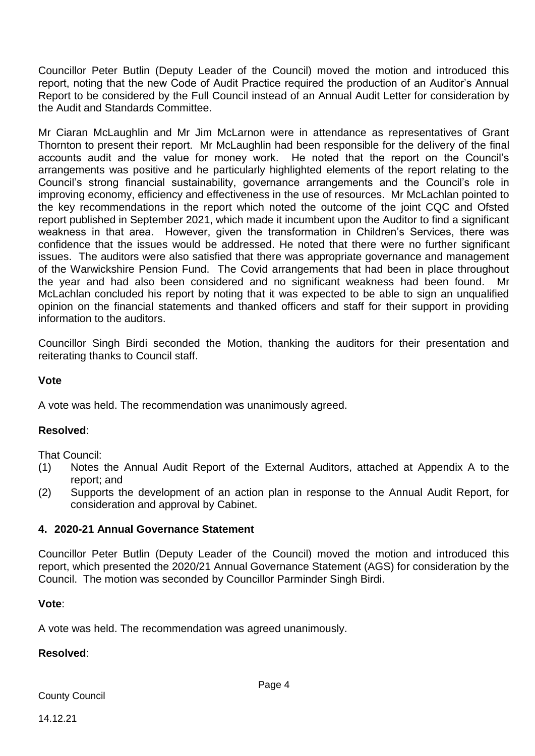Councillor Peter Butlin (Deputy Leader of the Council) moved the motion and introduced this report, noting that the new Code of Audit Practice required the production of an Auditor's Annual Report to be considered by the Full Council instead of an Annual Audit Letter for consideration by the Audit and Standards Committee.

Mr Ciaran McLaughlin and Mr Jim McLarnon were in attendance as representatives of Grant Thornton to present their report. Mr McLaughlin had been responsible for the delivery of the final accounts audit and the value for money work. He noted that the report on the Council's arrangements was positive and he particularly highlighted elements of the report relating to the Council's strong financial sustainability, governance arrangements and the Council's role in improving economy, efficiency and effectiveness in the use of resources. Mr McLachlan pointed to the key recommendations in the report which noted the outcome of the joint CQC and Ofsted report published in September 2021, which made it incumbent upon the Auditor to find a significant weakness in that area. However, given the transformation in Children's Services, there was confidence that the issues would be addressed. He noted that there were no further significant issues. The auditors were also satisfied that there was appropriate governance and management of the Warwickshire Pension Fund. The Covid arrangements that had been in place throughout the year and had also been considered and no significant weakness had been found. Mr McLachlan concluded his report by noting that it was expected to be able to sign an unqualified opinion on the financial statements and thanked officers and staff for their support in providing information to the auditors.

Councillor Singh Birdi seconded the Motion, thanking the auditors for their presentation and reiterating thanks to Council staff.

## **Vote**

A vote was held. The recommendation was unanimously agreed.

#### **Resolved**:

That Council:

- (1) Notes the Annual Audit Report of the External Auditors, attached at Appendix A to the report; and
- (2) Supports the development of an action plan in response to the Annual Audit Report, for consideration and approval by Cabinet.

#### **4. 2020-21 Annual Governance Statement**

Councillor Peter Butlin (Deputy Leader of the Council) moved the motion and introduced this report, which presented the 2020/21 Annual Governance Statement (AGS) for consideration by the Council. The motion was seconded by Councillor Parminder Singh Birdi.

#### **Vote**:

A vote was held. The recommendation was agreed unanimously.

#### **Resolved**: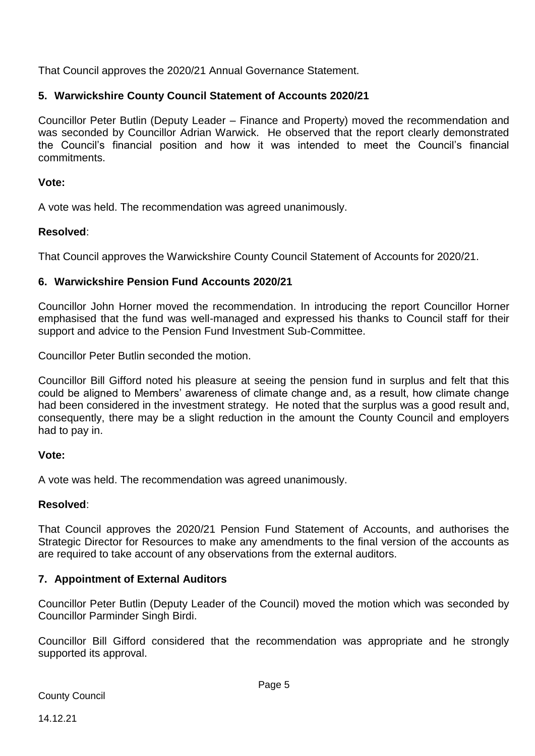That Council approves the 2020/21 Annual Governance Statement.

## **5. Warwickshire County Council Statement of Accounts 2020/21**

Councillor Peter Butlin (Deputy Leader – Finance and Property) moved the recommendation and was seconded by Councillor Adrian Warwick. He observed that the report clearly demonstrated the Council's financial position and how it was intended to meet the Council's financial commitments.

## **Vote:**

A vote was held. The recommendation was agreed unanimously.

## **Resolved**:

That Council approves the Warwickshire County Council Statement of Accounts for 2020/21.

## **6. Warwickshire Pension Fund Accounts 2020/21**

Councillor John Horner moved the recommendation. In introducing the report Councillor Horner emphasised that the fund was well-managed and expressed his thanks to Council staff for their support and advice to the Pension Fund Investment Sub-Committee.

Councillor Peter Butlin seconded the motion.

Councillor Bill Gifford noted his pleasure at seeing the pension fund in surplus and felt that this could be aligned to Members' awareness of climate change and, as a result, how climate change had been considered in the investment strategy. He noted that the surplus was a good result and, consequently, there may be a slight reduction in the amount the County Council and employers had to pay in.

## **Vote:**

A vote was held. The recommendation was agreed unanimously.

## **Resolved**:

That Council approves the 2020/21 Pension Fund Statement of Accounts, and authorises the Strategic Director for Resources to make any amendments to the final version of the accounts as are required to take account of any observations from the external auditors.

## **7. Appointment of External Auditors**

Councillor Peter Butlin (Deputy Leader of the Council) moved the motion which was seconded by Councillor Parminder Singh Birdi.

Councillor Bill Gifford considered that the recommendation was appropriate and he strongly supported its approval.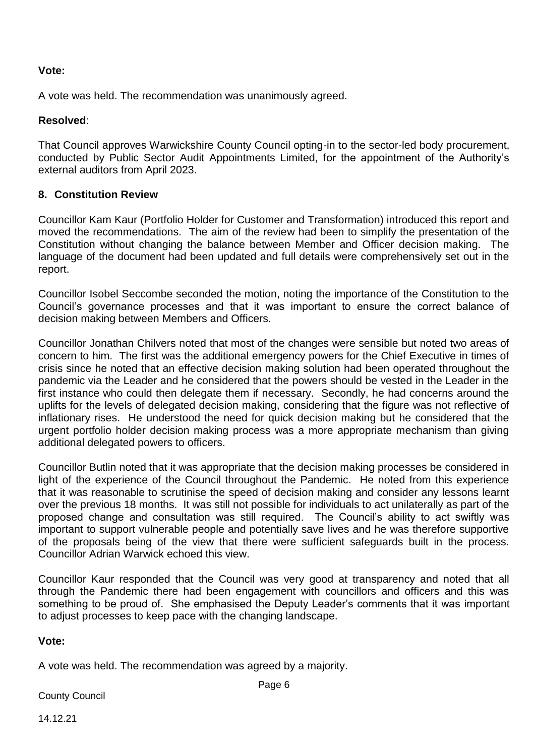## **Vote:**

A vote was held. The recommendation was unanimously agreed.

## **Resolved**:

That Council approves Warwickshire County Council opting-in to the sector-led body procurement, conducted by Public Sector Audit Appointments Limited, for the appointment of the Authority's external auditors from April 2023.

## **8. Constitution Review**

Councillor Kam Kaur (Portfolio Holder for Customer and Transformation) introduced this report and moved the recommendations. The aim of the review had been to simplify the presentation of the Constitution without changing the balance between Member and Officer decision making. The language of the document had been updated and full details were comprehensively set out in the report.

Councillor Isobel Seccombe seconded the motion, noting the importance of the Constitution to the Council's governance processes and that it was important to ensure the correct balance of decision making between Members and Officers.

Councillor Jonathan Chilvers noted that most of the changes were sensible but noted two areas of concern to him. The first was the additional emergency powers for the Chief Executive in times of crisis since he noted that an effective decision making solution had been operated throughout the pandemic via the Leader and he considered that the powers should be vested in the Leader in the first instance who could then delegate them if necessary. Secondly, he had concerns around the uplifts for the levels of delegated decision making, considering that the figure was not reflective of inflationary rises. He understood the need for quick decision making but he considered that the urgent portfolio holder decision making process was a more appropriate mechanism than giving additional delegated powers to officers.

Councillor Butlin noted that it was appropriate that the decision making processes be considered in light of the experience of the Council throughout the Pandemic. He noted from this experience that it was reasonable to scrutinise the speed of decision making and consider any lessons learnt over the previous 18 months. It was still not possible for individuals to act unilaterally as part of the proposed change and consultation was still required. The Council's ability to act swiftly was important to support vulnerable people and potentially save lives and he was therefore supportive of the proposals being of the view that there were sufficient safeguards built in the process. Councillor Adrian Warwick echoed this view.

Councillor Kaur responded that the Council was very good at transparency and noted that all through the Pandemic there had been engagement with councillors and officers and this was something to be proud of. She emphasised the Deputy Leader's comments that it was important to adjust processes to keep pace with the changing landscape.

#### **Vote:**

A vote was held. The recommendation was agreed by a majority.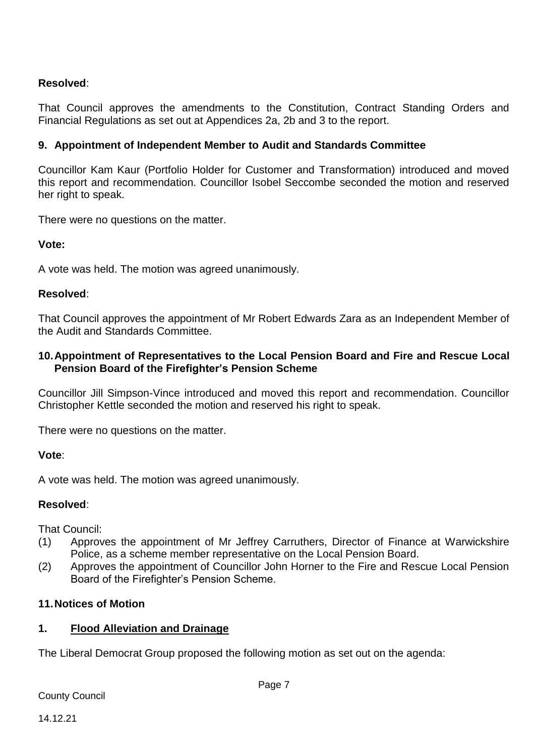## **Resolved**:

That Council approves the amendments to the Constitution, Contract Standing Orders and Financial Regulations as set out at Appendices 2a, 2b and 3 to the report.

## **9. Appointment of Independent Member to Audit and Standards Committee**

Councillor Kam Kaur (Portfolio Holder for Customer and Transformation) introduced and moved this report and recommendation. Councillor Isobel Seccombe seconded the motion and reserved her right to speak.

There were no questions on the matter.

#### **Vote:**

A vote was held. The motion was agreed unanimously.

#### **Resolved**:

That Council approves the appointment of Mr Robert Edwards Zara as an Independent Member of the Audit and Standards Committee.

#### **10.Appointment of Representatives to the Local Pension Board and Fire and Rescue Local Pension Board of the Firefighter's Pension Scheme**

Councillor Jill Simpson-Vince introduced and moved this report and recommendation. Councillor Christopher Kettle seconded the motion and reserved his right to speak.

There were no questions on the matter.

**Vote**:

A vote was held. The motion was agreed unanimously.

#### **Resolved**:

That Council:

- (1) Approves the appointment of Mr Jeffrey Carruthers, Director of Finance at Warwickshire Police, as a scheme member representative on the Local Pension Board.
- (2) Approves the appointment of Councillor John Horner to the Fire and Rescue Local Pension Board of the Firefighter's Pension Scheme.

## **11.Notices of Motion**

#### **1. Flood Alleviation and Drainage**

The Liberal Democrat Group proposed the following motion as set out on the agenda: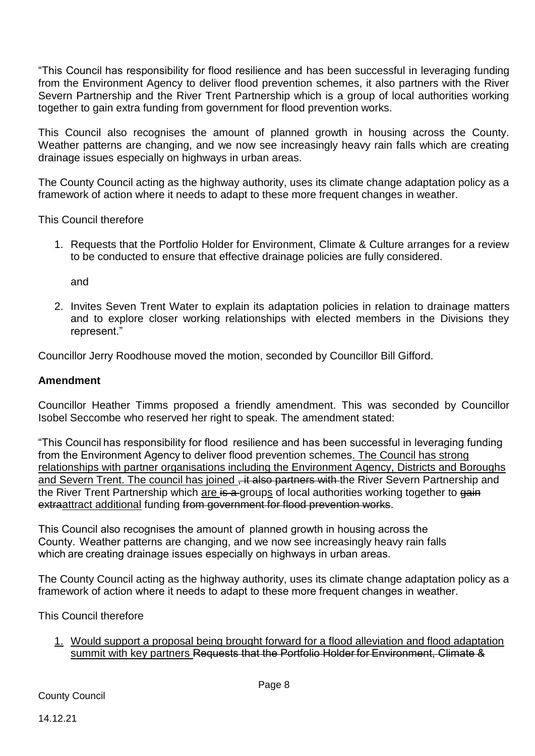"This Council has responsibility for flood resilience and has been successful in leveraging funding from the Environment Agency to deliver flood prevention schemes, it also partners with the River Severn Partnership and the River Trent Partnership which is a group of local authorities working together to gain extra funding from government for flood prevention works.

This Council also recognises the amount of planned growth in housing across the County. Weather patterns are changing, and we now see increasingly heavy rain falls which are creating drainage issues especially on highways in urban areas.

The County Council acting as the highway authority, uses its climate change adaptation policy as a framework of action where it needs to adapt to these more frequent changes in weather.

This Council therefore

1. Requests that the Portfolio Holder for Environment, Climate & Culture arranges for a review to be conducted to ensure that effective drainage policies are fully considered.

and

2. Invites Seven Trent Water to explain its adaptation policies in relation to drainage matters and to explore closer working relationships with elected members in the Divisions they represent."

Councillor Jerry Roodhouse moved the motion, seconded by Councillor Bill Gifford.

#### **Amendment**

Councillor Heather Timms proposed a friendly amendment. This was seconded by Councillor Isobel Seccombe who reserved her right to speak. The amendment stated:

"This Council has responsibility for flood  resilience and has been successful in leveraging funding from the Environment Agency to deliver flood prevention schemes. The Council has strong relationships with partner organisations including the Environment Agency, Districts and Boroughs and Severn Trent. The council has joined , it also partners with the River Severn Partnership and the River Trent Partnership which are is a groups of local authorities working together to gain extraattract additional funding from government for flood prevention works.

This Council also recognises the amount of  planned growth in housing across the County.  Weather patterns are changing, and we now see increasingly heavy rain falls which are creating drainage issues especially on highways in urban areas.

The County Council acting as the highway authority, uses its climate change adaptation policy as a framework of action where it needs to adapt to these more frequent changes in weather.   

This Council therefore

1. Would support a proposal being brought forward for a flood alleviation and flood adaptation summit with key partners Requests that the Portfolio Holder for Environment, Climate &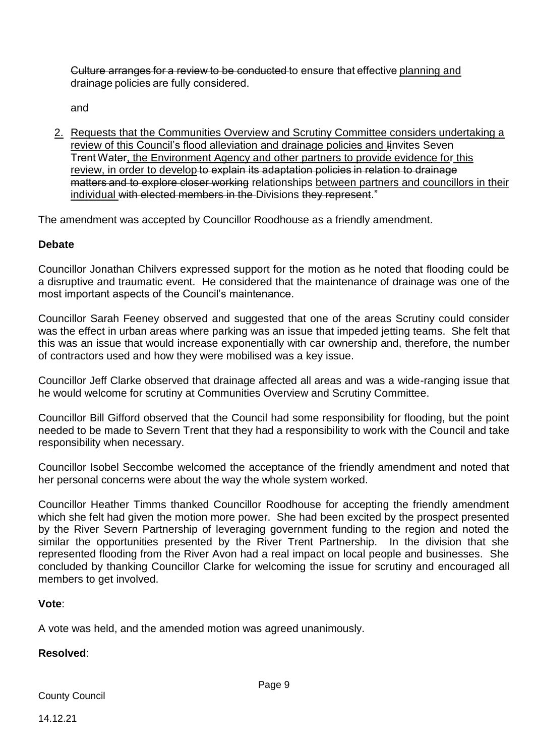Culture arranges for a review to be conducted to ensure that effective planning and drainage policies are fully considered.

and

2. Requests that the Communities Overview and Scrutiny Committee considers undertaking a review of this Council's flood alleviation and drainage policies and Iinvites Seven Trent Water, the Environment Agency and other partners to provide evidence for this review, in order to develop to explain its adaptation policies in relation to drainage matters and to explore closer working relationships between partners and councillors in their individual with elected members in the Divisions they represent."

The amendment was accepted by Councillor Roodhouse as a friendly amendment.

## **Debate**

Councillor Jonathan Chilvers expressed support for the motion as he noted that flooding could be a disruptive and traumatic event. He considered that the maintenance of drainage was one of the most important aspects of the Council's maintenance.

Councillor Sarah Feeney observed and suggested that one of the areas Scrutiny could consider was the effect in urban areas where parking was an issue that impeded jetting teams. She felt that this was an issue that would increase exponentially with car ownership and, therefore, the number of contractors used and how they were mobilised was a key issue.

Councillor Jeff Clarke observed that drainage affected all areas and was a wide-ranging issue that he would welcome for scrutiny at Communities Overview and Scrutiny Committee.

Councillor Bill Gifford observed that the Council had some responsibility for flooding, but the point needed to be made to Severn Trent that they had a responsibility to work with the Council and take responsibility when necessary.

Councillor Isobel Seccombe welcomed the acceptance of the friendly amendment and noted that her personal concerns were about the way the whole system worked.

Councillor Heather Timms thanked Councillor Roodhouse for accepting the friendly amendment which she felt had given the motion more power. She had been excited by the prospect presented by the River Severn Partnership of leveraging government funding to the region and noted the similar the opportunities presented by the River Trent Partnership. In the division that she represented flooding from the River Avon had a real impact on local people and businesses. She concluded by thanking Councillor Clarke for welcoming the issue for scrutiny and encouraged all members to get involved.

#### **Vote**:

A vote was held, and the amended motion was agreed unanimously.

#### **Resolved**: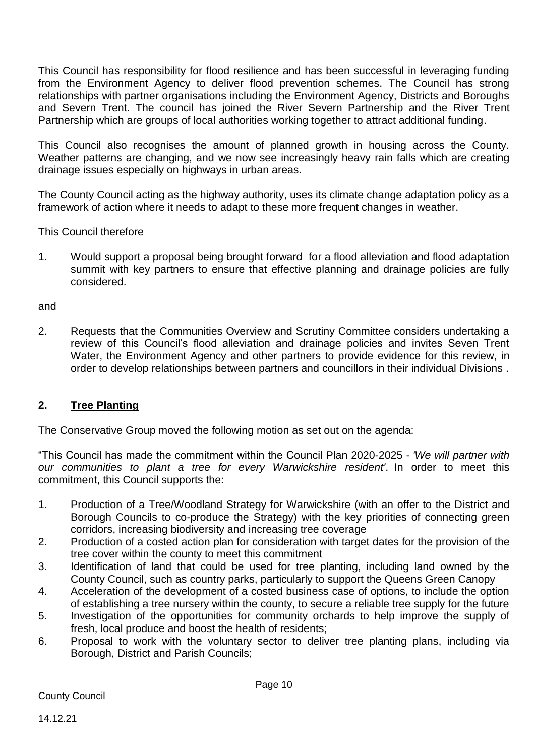This Council has responsibility for flood resilience and has been successful in leveraging funding from the Environment Agency to deliver flood prevention schemes. The Council has strong relationships with partner organisations including the Environment Agency, Districts and Boroughs and Severn Trent. The council has joined the River Severn Partnership and the River Trent Partnership which are groups of local authorities working together to attract additional funding.

This Council also recognises the amount of planned growth in housing across the County. Weather patterns are changing, and we now see increasingly heavy rain falls which are creating drainage issues especially on highways in urban areas.

The County Council acting as the highway authority, uses its climate change adaptation policy as a framework of action where it needs to adapt to these more frequent changes in weather.

This Council therefore

1. Would support a proposal being brought forward for a flood alleviation and flood adaptation summit with key partners to ensure that effective planning and drainage policies are fully considered.

and

2. Requests that the Communities Overview and Scrutiny Committee considers undertaking a review of this Council's flood alleviation and drainage policies and invites Seven Trent Water, the Environment Agency and other partners to provide evidence for this review, in order to develop relationships between partners and councillors in their individual Divisions .

## **2. Tree Planting**

The Conservative Group moved the following motion as set out on the agenda:

"This Council has made the commitment within the Council Plan 2020-2025 - *'We will partner with our communities to plant a tree for every Warwickshire resident'*. In order to meet this commitment, this Council supports the:

- 1. Production of a Tree/Woodland Strategy for Warwickshire (with an offer to the District and Borough Councils to co-produce the Strategy) with the key priorities of connecting green corridors, increasing biodiversity and increasing tree coverage
- 2. Production of a costed action plan for consideration with target dates for the provision of the tree cover within the county to meet this commitment
- 3. Identification of land that could be used for tree planting, including land owned by the County Council, such as country parks, particularly to support the Queens Green Canopy
- 4. Acceleration of the development of a costed business case of options, to include the option of establishing a tree nursery within the county, to secure a reliable tree supply for the future
- 5. Investigation of the opportunities for community orchards to help improve the supply of fresh, local produce and boost the health of residents;
- 6. Proposal to work with the voluntary sector to deliver tree planting plans, including via Borough, District and Parish Councils;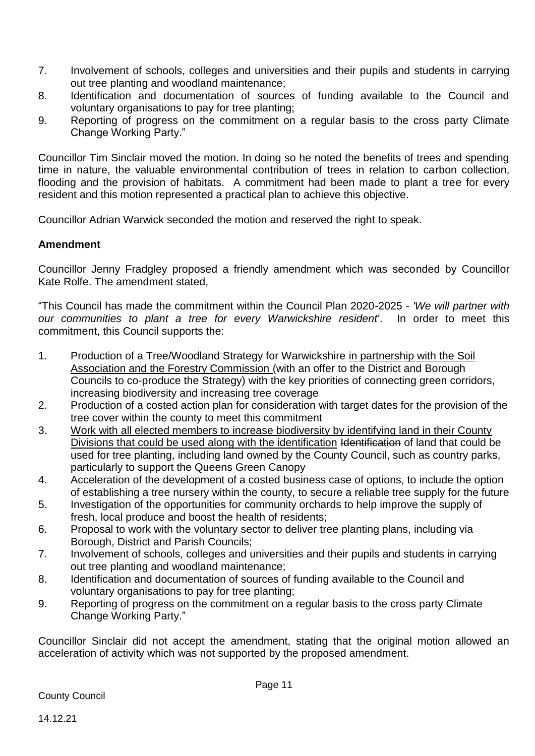- 7. Involvement of schools, colleges and universities and their pupils and students in carrying out tree planting and woodland maintenance;
- 8. Identification and documentation of sources of funding available to the Council and voluntary organisations to pay for tree planting;
- 9. Reporting of progress on the commitment on a regular basis to the cross party Climate Change Working Party."

Councillor Tim Sinclair moved the motion. In doing so he noted the benefits of trees and spending time in nature, the valuable environmental contribution of trees in relation to carbon collection, flooding and the provision of habitats. A commitment had been made to plant a tree for every resident and this motion represented a practical plan to achieve this objective.

Councillor Adrian Warwick seconded the motion and reserved the right to speak.

## **Amendment**

Councillor Jenny Fradgley proposed a friendly amendment which was seconded by Councillor Kate Rolfe. The amendment stated,

"This Council has made the commitment within the Council Plan 2020-2025 - *'We will partner with our communities to plant a tree for every Warwickshire resident'*. In order to meet this commitment, this Council supports the:

- 1. Production of a Tree/Woodland Strategy for Warwickshire in partnership with the Soil Association and the Forestry Commission (with an offer to the District and Borough Councils to co-produce the Strategy) with the key priorities of connecting green corridors, increasing biodiversity and increasing tree coverage
- 2. Production of a costed action plan for consideration with target dates for the provision of the tree cover within the county to meet this commitment
- 3. Work with all elected members to increase biodiversity by identifying land in their County Divisions that could be used along with the identification Identification of land that could be used for tree planting, including land owned by the County Council, such as country parks, particularly to support the Queens Green Canopy
- 4. Acceleration of the development of a costed business case of options, to include the option of establishing a tree nursery within the county, to secure a reliable tree supply for the future
- 5. Investigation of the opportunities for community orchards to help improve the supply of fresh, local produce and boost the health of residents;
- 6. Proposal to work with the voluntary sector to deliver tree planting plans, including via Borough, District and Parish Councils;
- 7. Involvement of schools, colleges and universities and their pupils and students in carrying out tree planting and woodland maintenance;
- 8. Identification and documentation of sources of funding available to the Council and voluntary organisations to pay for tree planting;
- 9. Reporting of progress on the commitment on a regular basis to the cross party Climate Change Working Party."

Councillor Sinclair did not accept the amendment, stating that the original motion allowed an acceleration of activity which was not supported by the proposed amendment.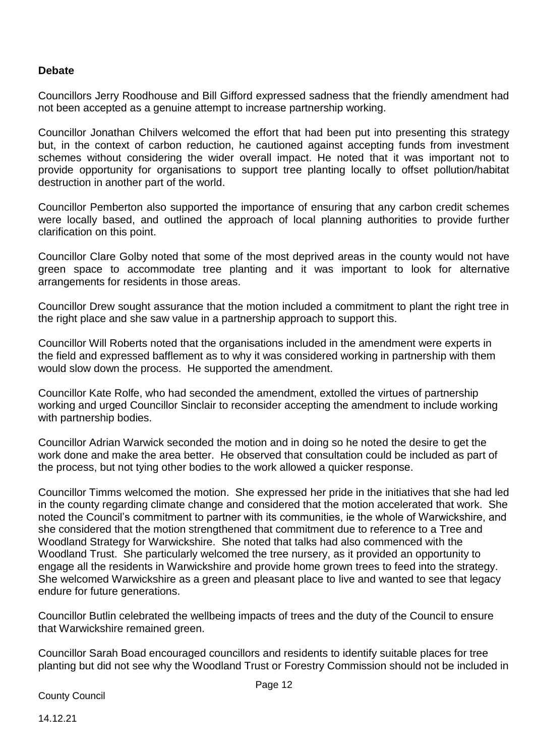#### **Debate**

Councillors Jerry Roodhouse and Bill Gifford expressed sadness that the friendly amendment had not been accepted as a genuine attempt to increase partnership working.

Councillor Jonathan Chilvers welcomed the effort that had been put into presenting this strategy but, in the context of carbon reduction, he cautioned against accepting funds from investment schemes without considering the wider overall impact. He noted that it was important not to provide opportunity for organisations to support tree planting locally to offset pollution/habitat destruction in another part of the world.

Councillor Pemberton also supported the importance of ensuring that any carbon credit schemes were locally based, and outlined the approach of local planning authorities to provide further clarification on this point.

Councillor Clare Golby noted that some of the most deprived areas in the county would not have green space to accommodate tree planting and it was important to look for alternative arrangements for residents in those areas.

Councillor Drew sought assurance that the motion included a commitment to plant the right tree in the right place and she saw value in a partnership approach to support this.

Councillor Will Roberts noted that the organisations included in the amendment were experts in the field and expressed bafflement as to why it was considered working in partnership with them would slow down the process. He supported the amendment.

Councillor Kate Rolfe, who had seconded the amendment, extolled the virtues of partnership working and urged Councillor Sinclair to reconsider accepting the amendment to include working with partnership bodies.

Councillor Adrian Warwick seconded the motion and in doing so he noted the desire to get the work done and make the area better. He observed that consultation could be included as part of the process, but not tying other bodies to the work allowed a quicker response.

Councillor Timms welcomed the motion. She expressed her pride in the initiatives that she had led in the county regarding climate change and considered that the motion accelerated that work. She noted the Council's commitment to partner with its communities, ie the whole of Warwickshire, and she considered that the motion strengthened that commitment due to reference to a Tree and Woodland Strategy for Warwickshire. She noted that talks had also commenced with the Woodland Trust. She particularly welcomed the tree nursery, as it provided an opportunity to engage all the residents in Warwickshire and provide home grown trees to feed into the strategy. She welcomed Warwickshire as a green and pleasant place to live and wanted to see that legacy endure for future generations.

Councillor Butlin celebrated the wellbeing impacts of trees and the duty of the Council to ensure that Warwickshire remained green.

Councillor Sarah Boad encouraged councillors and residents to identify suitable places for tree planting but did not see why the Woodland Trust or Forestry Commission should not be included in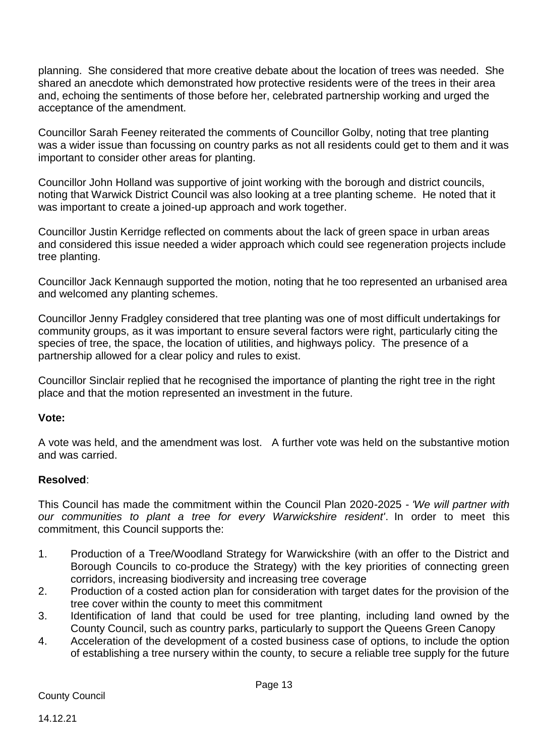planning. She considered that more creative debate about the location of trees was needed. She shared an anecdote which demonstrated how protective residents were of the trees in their area and, echoing the sentiments of those before her, celebrated partnership working and urged the acceptance of the amendment.

Councillor Sarah Feeney reiterated the comments of Councillor Golby, noting that tree planting was a wider issue than focussing on country parks as not all residents could get to them and it was important to consider other areas for planting.

Councillor John Holland was supportive of joint working with the borough and district councils, noting that Warwick District Council was also looking at a tree planting scheme. He noted that it was important to create a joined-up approach and work together.

Councillor Justin Kerridge reflected on comments about the lack of green space in urban areas and considered this issue needed a wider approach which could see regeneration projects include tree planting.

Councillor Jack Kennaugh supported the motion, noting that he too represented an urbanised area and welcomed any planting schemes.

Councillor Jenny Fradgley considered that tree planting was one of most difficult undertakings for community groups, as it was important to ensure several factors were right, particularly citing the species of tree, the space, the location of utilities, and highways policy. The presence of a partnership allowed for a clear policy and rules to exist.

Councillor Sinclair replied that he recognised the importance of planting the right tree in the right place and that the motion represented an investment in the future.

#### **Vote:**

A vote was held, and the amendment was lost. A further vote was held on the substantive motion and was carried.

#### **Resolved**:

This Council has made the commitment within the Council Plan 2020-2025 - *'We will partner with our communities to plant a tree for every Warwickshire resident'*. In order to meet this commitment, this Council supports the:

- 1. Production of a Tree/Woodland Strategy for Warwickshire (with an offer to the District and Borough Councils to co-produce the Strategy) with the key priorities of connecting green corridors, increasing biodiversity and increasing tree coverage
- 2. Production of a costed action plan for consideration with target dates for the provision of the tree cover within the county to meet this commitment
- 3. Identification of land that could be used for tree planting, including land owned by the County Council, such as country parks, particularly to support the Queens Green Canopy
- 4. Acceleration of the development of a costed business case of options, to include the option of establishing a tree nursery within the county, to secure a reliable tree supply for the future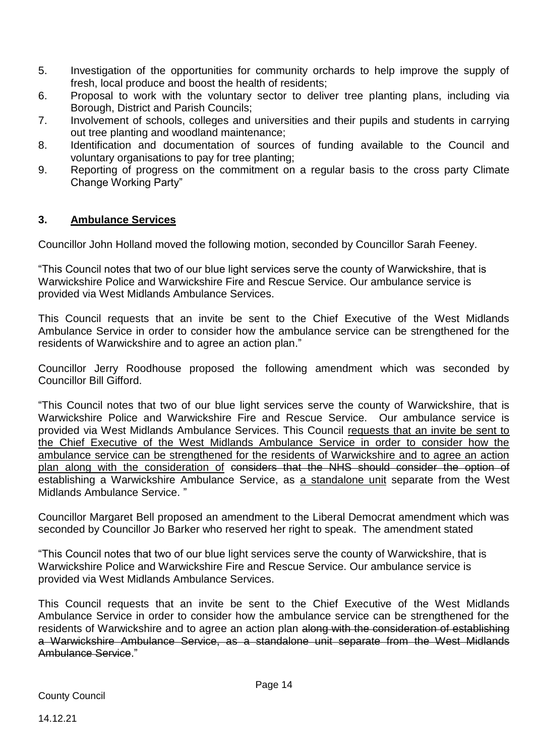- 5. Investigation of the opportunities for community orchards to help improve the supply of fresh, local produce and boost the health of residents;
- 6. Proposal to work with the voluntary sector to deliver tree planting plans, including via Borough, District and Parish Councils;
- 7. Involvement of schools, colleges and universities and their pupils and students in carrying out tree planting and woodland maintenance;
- 8. Identification and documentation of sources of funding available to the Council and voluntary organisations to pay for tree planting;
- 9. Reporting of progress on the commitment on a regular basis to the cross party Climate Change Working Party"

## **3. Ambulance Services**

Councillor John Holland moved the following motion, seconded by Councillor Sarah Feeney.

"This Council notes that two of our blue light services serve the county of Warwickshire, that is Warwickshire Police and Warwickshire Fire and Rescue Service. Our ambulance service is provided via West Midlands Ambulance Services.

This Council requests that an invite be sent to the Chief Executive of the West Midlands Ambulance Service in order to consider how the ambulance service can be strengthened for the residents of Warwickshire and to agree an action plan."

Councillor Jerry Roodhouse proposed the following amendment which was seconded by Councillor Bill Gifford.

"This Council notes that two of our blue light services serve the county of Warwickshire, that is Warwickshire Police and Warwickshire Fire and Rescue Service. Our ambulance service is provided via West Midlands Ambulance Services. This Council requests that an invite be sent to the Chief Executive of the West Midlands Ambulance Service in order to consider how the ambulance service can be strengthened for the residents of Warwickshire and to agree an action plan along with the consideration of considers that the NHS should consider the option of establishing a Warwickshire Ambulance Service, as a standalone unit separate from the West Midlands Ambulance Service. "

Councillor Margaret Bell proposed an amendment to the Liberal Democrat amendment which was seconded by Councillor Jo Barker who reserved her right to speak. The amendment stated

"This Council notes that two of our blue light services serve the county of Warwickshire, that is Warwickshire Police and Warwickshire Fire and Rescue Service. Our ambulance service is provided via West Midlands Ambulance Services.

This Council requests that an invite be sent to the Chief Executive of the West Midlands Ambulance Service in order to consider how the ambulance service can be strengthened for the residents of Warwickshire and to agree an action plan along with the consideration of establishing a Warwickshire Ambulance Service, as a standalone unit separate from the West Midlands Ambulance Service."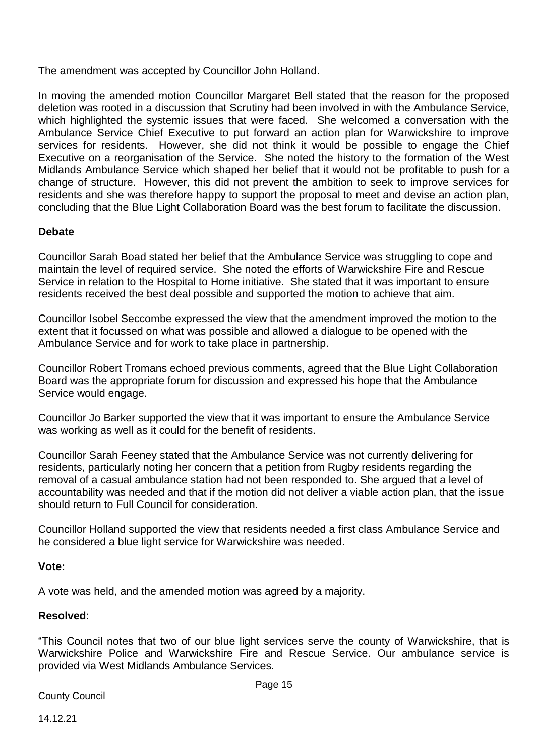The amendment was accepted by Councillor John Holland.

In moving the amended motion Councillor Margaret Bell stated that the reason for the proposed deletion was rooted in a discussion that Scrutiny had been involved in with the Ambulance Service, which highlighted the systemic issues that were faced. She welcomed a conversation with the Ambulance Service Chief Executive to put forward an action plan for Warwickshire to improve services for residents. However, she did not think it would be possible to engage the Chief Executive on a reorganisation of the Service. She noted the history to the formation of the West Midlands Ambulance Service which shaped her belief that it would not be profitable to push for a change of structure. However, this did not prevent the ambition to seek to improve services for residents and she was therefore happy to support the proposal to meet and devise an action plan, concluding that the Blue Light Collaboration Board was the best forum to facilitate the discussion.

## **Debate**

Councillor Sarah Boad stated her belief that the Ambulance Service was struggling to cope and maintain the level of required service. She noted the efforts of Warwickshire Fire and Rescue Service in relation to the Hospital to Home initiative. She stated that it was important to ensure residents received the best deal possible and supported the motion to achieve that aim.

Councillor Isobel Seccombe expressed the view that the amendment improved the motion to the extent that it focussed on what was possible and allowed a dialogue to be opened with the Ambulance Service and for work to take place in partnership.

Councillor Robert Tromans echoed previous comments, agreed that the Blue Light Collaboration Board was the appropriate forum for discussion and expressed his hope that the Ambulance Service would engage.

Councillor Jo Barker supported the view that it was important to ensure the Ambulance Service was working as well as it could for the benefit of residents.

Councillor Sarah Feeney stated that the Ambulance Service was not currently delivering for residents, particularly noting her concern that a petition from Rugby residents regarding the removal of a casual ambulance station had not been responded to. She argued that a level of accountability was needed and that if the motion did not deliver a viable action plan, that the issue should return to Full Council for consideration.

Councillor Holland supported the view that residents needed a first class Ambulance Service and he considered a blue light service for Warwickshire was needed.

#### **Vote:**

A vote was held, and the amended motion was agreed by a majority.

#### **Resolved**:

"This Council notes that two of our blue light services serve the county of Warwickshire, that is Warwickshire Police and Warwickshire Fire and Rescue Service. Our ambulance service is provided via West Midlands Ambulance Services.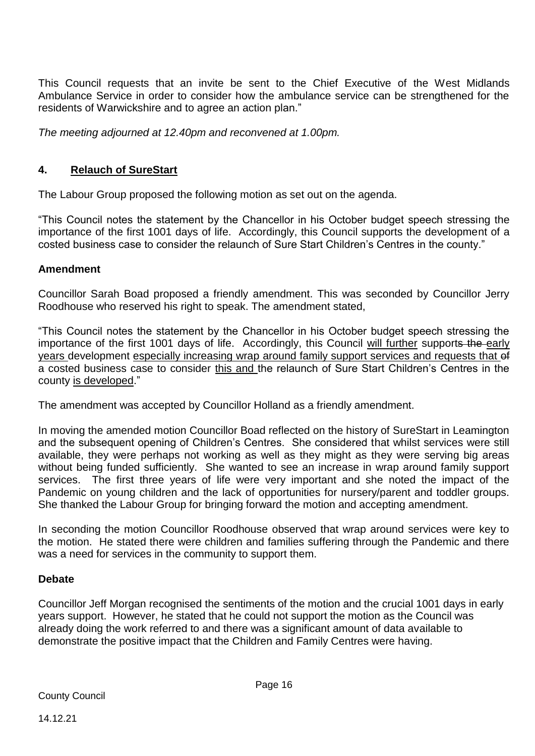This Council requests that an invite be sent to the Chief Executive of the West Midlands Ambulance Service in order to consider how the ambulance service can be strengthened for the residents of Warwickshire and to agree an action plan."

*The meeting adjourned at 12.40pm and reconvened at 1.00pm.* 

## **4. Relauch of SureStart**

The Labour Group proposed the following motion as set out on the agenda.

"This Council notes the statement by the Chancellor in his October budget speech stressing the importance of the first 1001 days of life. Accordingly, this Council supports the development of a costed business case to consider the relaunch of Sure Start Children's Centres in the county."

## **Amendment**

Councillor Sarah Boad proposed a friendly amendment. This was seconded by Councillor Jerry Roodhouse who reserved his right to speak. The amendment stated,

"This Council notes the statement by the Chancellor in his October budget speech stressing the importance of the first 1001 days of life. Accordingly, this Council will further supports the early years development especially increasing wrap around family support services and requests that of a costed business case to consider this and the relaunch of Sure Start Children's Centres in the county is developed."

The amendment was accepted by Councillor Holland as a friendly amendment.

In moving the amended motion Councillor Boad reflected on the history of SureStart in Leamington and the subsequent opening of Children's Centres. She considered that whilst services were still available, they were perhaps not working as well as they might as they were serving big areas without being funded sufficiently. She wanted to see an increase in wrap around family support services. The first three years of life were very important and she noted the impact of the Pandemic on young children and the lack of opportunities for nursery/parent and toddler groups. She thanked the Labour Group for bringing forward the motion and accepting amendment.

In seconding the motion Councillor Roodhouse observed that wrap around services were key to the motion. He stated there were children and families suffering through the Pandemic and there was a need for services in the community to support them.

## **Debate**

Councillor Jeff Morgan recognised the sentiments of the motion and the crucial 1001 days in early years support. However, he stated that he could not support the motion as the Council was already doing the work referred to and there was a significant amount of data available to demonstrate the positive impact that the Children and Family Centres were having.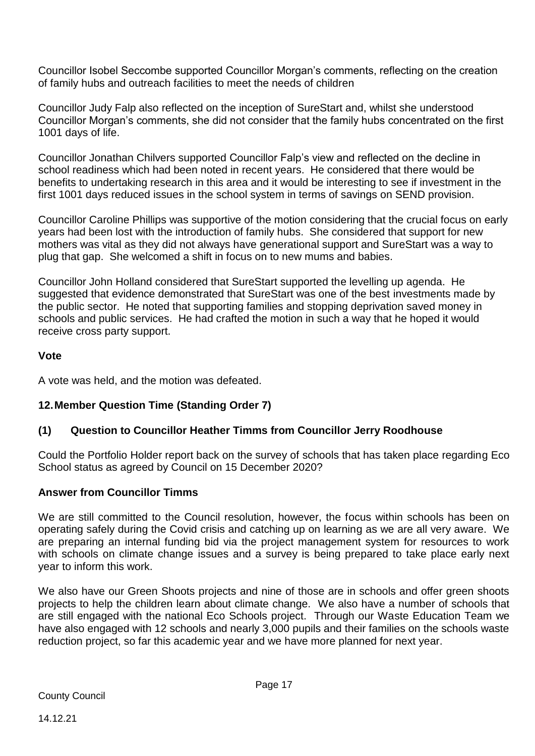Councillor Isobel Seccombe supported Councillor Morgan's comments, reflecting on the creation of family hubs and outreach facilities to meet the needs of children

Councillor Judy Falp also reflected on the inception of SureStart and, whilst she understood Councillor Morgan's comments, she did not consider that the family hubs concentrated on the first 1001 days of life.

Councillor Jonathan Chilvers supported Councillor Falp's view and reflected on the decline in school readiness which had been noted in recent years. He considered that there would be benefits to undertaking research in this area and it would be interesting to see if investment in the first 1001 days reduced issues in the school system in terms of savings on SEND provision.

Councillor Caroline Phillips was supportive of the motion considering that the crucial focus on early years had been lost with the introduction of family hubs. She considered that support for new mothers was vital as they did not always have generational support and SureStart was a way to plug that gap. She welcomed a shift in focus on to new mums and babies.

Councillor John Holland considered that SureStart supported the levelling up agenda. He suggested that evidence demonstrated that SureStart was one of the best investments made by the public sector. He noted that supporting families and stopping deprivation saved money in schools and public services. He had crafted the motion in such a way that he hoped it would receive cross party support.

## **Vote**

A vote was held, and the motion was defeated.

## **12.Member Question Time (Standing Order 7)**

## **(1) Question to Councillor Heather Timms from Councillor Jerry Roodhouse**

Could the Portfolio Holder report back on the survey of schools that has taken place regarding Eco School status as agreed by Council on 15 December 2020?

## **Answer from Councillor Timms**

We are still committed to the Council resolution, however, the focus within schools has been on operating safely during the Covid crisis and catching up on learning as we are all very aware. We are preparing an internal funding bid via the project management system for resources to work with schools on climate change issues and a survey is being prepared to take place early next year to inform this work.

We also have our Green Shoots projects and nine of those are in schools and offer green shoots projects to help the children learn about climate change. We also have a number of schools that are still engaged with the national Eco Schools project. Through our Waste Education Team we have also engaged with 12 schools and nearly 3,000 pupils and their families on the schools waste reduction project, so far this academic year and we have more planned for next year.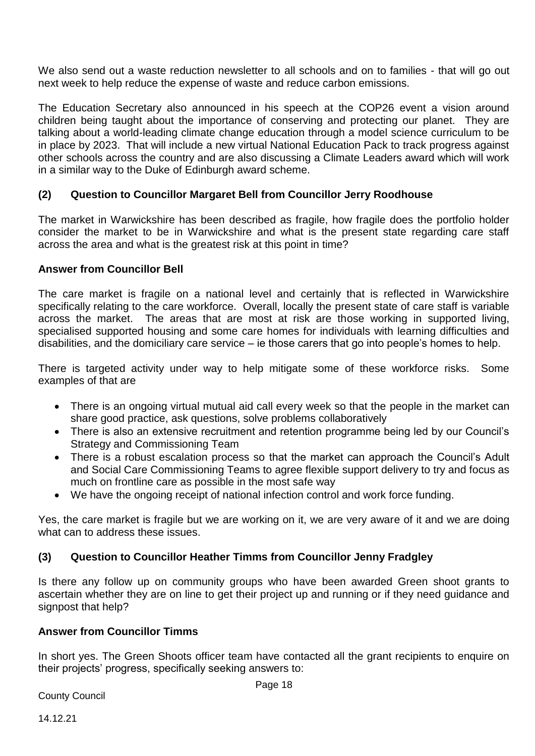We also send out a waste reduction newsletter to all schools and on to families - that will go out next week to help reduce the expense of waste and reduce carbon emissions.

The Education Secretary also announced in his speech at the COP26 event a vision around children being taught about the importance of conserving and protecting our planet. They are talking about a world-leading climate change education through a model science curriculum to be in place by 2023. That will include a new virtual National Education Pack to track progress against other schools across the country and are also discussing a Climate Leaders award which will work in a similar way to the Duke of Edinburgh award scheme.

## **(2) Question to Councillor Margaret Bell from Councillor Jerry Roodhouse**

The market in Warwickshire has been described as fragile, how fragile does the portfolio holder consider the market to be in Warwickshire and what is the present state regarding care staff across the area and what is the greatest risk at this point in time?

#### **Answer from Councillor Bell**

The care market is fragile on a national level and certainly that is reflected in Warwickshire specifically relating to the care workforce. Overall, locally the present state of care staff is variable across the market. The areas that are most at risk are those working in supported living, specialised supported housing and some care homes for individuals with learning difficulties and disabilities, and the domiciliary care service – ie those carers that go into people's homes to help.

There is targeted activity under way to help mitigate some of these workforce risks. Some examples of that are

- There is an ongoing virtual mutual aid call every week so that the people in the market can share good practice, ask questions, solve problems collaboratively
- There is also an extensive recruitment and retention programme being led by our Council's Strategy and Commissioning Team
- There is a robust escalation process so that the market can approach the Council's Adult and Social Care Commissioning Teams to agree flexible support delivery to try and focus as much on frontline care as possible in the most safe way
- We have the ongoing receipt of national infection control and work force funding.

Yes, the care market is fragile but we are working on it, we are very aware of it and we are doing what can to address these issues.

## **(3) Question to Councillor Heather Timms from Councillor Jenny Fradgley**

Is there any follow up on community groups who have been awarded Green shoot grants to ascertain whether they are on line to get their project up and running or if they need guidance and signpost that help?

#### **Answer from Councillor Timms**

In short yes. The Green Shoots officer team have contacted all the grant recipients to enquire on their projects' progress, specifically seeking answers to: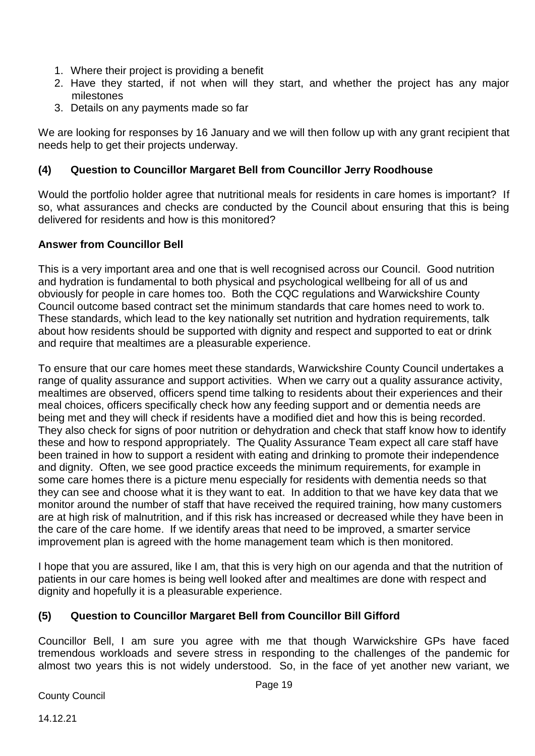- 1. Where their project is providing a benefit
- 2. Have they started, if not when will they start, and whether the project has any major milestones
- 3. Details on any payments made so far

We are looking for responses by 16 January and we will then follow up with any grant recipient that needs help to get their projects underway.

## **(4) Question to Councillor Margaret Bell from Councillor Jerry Roodhouse**

Would the portfolio holder agree that nutritional meals for residents in care homes is important? If so, what assurances and checks are conducted by the Council about ensuring that this is being delivered for residents and how is this monitored?

## **Answer from Councillor Bell**

This is a very important area and one that is well recognised across our Council. Good nutrition and hydration is fundamental to both physical and psychological wellbeing for all of us and obviously for people in care homes too. Both the CQC regulations and Warwickshire County Council outcome based contract set the minimum standards that care homes need to work to. These standards, which lead to the key nationally set nutrition and hydration requirements, talk about how residents should be supported with dignity and respect and supported to eat or drink and require that mealtimes are a pleasurable experience.

To ensure that our care homes meet these standards, Warwickshire County Council undertakes a range of quality assurance and support activities. When we carry out a quality assurance activity, mealtimes are observed, officers spend time talking to residents about their experiences and their meal choices, officers specifically check how any feeding support and or dementia needs are being met and they will check if residents have a modified diet and how this is being recorded. They also check for signs of poor nutrition or dehydration and check that staff know how to identify these and how to respond appropriately. The Quality Assurance Team expect all care staff have been trained in how to support a resident with eating and drinking to promote their independence and dignity. Often, we see good practice exceeds the minimum requirements, for example in some care homes there is a picture menu especially for residents with dementia needs so that they can see and choose what it is they want to eat. In addition to that we have key data that we monitor around the number of staff that have received the required training, how many customers are at high risk of malnutrition, and if this risk has increased or decreased while they have been in the care of the care home. If we identify areas that need to be improved, a smarter service improvement plan is agreed with the home management team which is then monitored.

I hope that you are assured, like I am, that this is very high on our agenda and that the nutrition of patients in our care homes is being well looked after and mealtimes are done with respect and dignity and hopefully it is a pleasurable experience.

## **(5) Question to Councillor Margaret Bell from Councillor Bill Gifford**

Councillor Bell, I am sure you agree with me that though Warwickshire GPs have faced tremendous workloads and severe stress in responding to the challenges of the pandemic for almost two years this is not widely understood. So, in the face of yet another new variant, we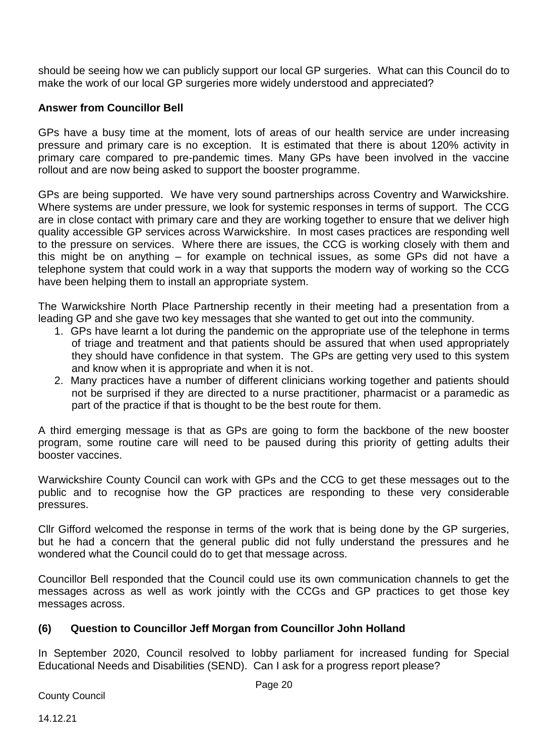should be seeing how we can publicly support our local GP surgeries. What can this Council do to make the work of our local GP surgeries more widely understood and appreciated?

## **Answer from Councillor Bell**

GPs have a busy time at the moment, lots of areas of our health service are under increasing pressure and primary care is no exception. It is estimated that there is about 120% activity in primary care compared to pre-pandemic times. Many GPs have been involved in the vaccine rollout and are now being asked to support the booster programme.

GPs are being supported. We have very sound partnerships across Coventry and Warwickshire. Where systems are under pressure, we look for systemic responses in terms of support. The CCG are in close contact with primary care and they are working together to ensure that we deliver high quality accessible GP services across Warwickshire. In most cases practices are responding well to the pressure on services. Where there are issues, the CCG is working closely with them and this might be on anything – for example on technical issues, as some GPs did not have a telephone system that could work in a way that supports the modern way of working so the CCG have been helping them to install an appropriate system.

The Warwickshire North Place Partnership recently in their meeting had a presentation from a leading GP and she gave two key messages that she wanted to get out into the community.

- 1. GPs have learnt a lot during the pandemic on the appropriate use of the telephone in terms of triage and treatment and that patients should be assured that when used appropriately they should have confidence in that system. The GPs are getting very used to this system and know when it is appropriate and when it is not.
- 2. Many practices have a number of different clinicians working together and patients should not be surprised if they are directed to a nurse practitioner, pharmacist or a paramedic as part of the practice if that is thought to be the best route for them.

A third emerging message is that as GPs are going to form the backbone of the new booster program, some routine care will need to be paused during this priority of getting adults their booster vaccines.

Warwickshire County Council can work with GPs and the CCG to get these messages out to the public and to recognise how the GP practices are responding to these very considerable pressures.

Cllr Gifford welcomed the response in terms of the work that is being done by the GP surgeries, but he had a concern that the general public did not fully understand the pressures and he wondered what the Council could do to get that message across.

Councillor Bell responded that the Council could use its own communication channels to get the messages across as well as work jointly with the CCGs and GP practices to get those key messages across.

#### **(6) Question to Councillor Jeff Morgan from Councillor John Holland**

In September 2020, Council resolved to lobby parliament for increased funding for Special Educational Needs and Disabilities (SEND). Can I ask for a progress report please?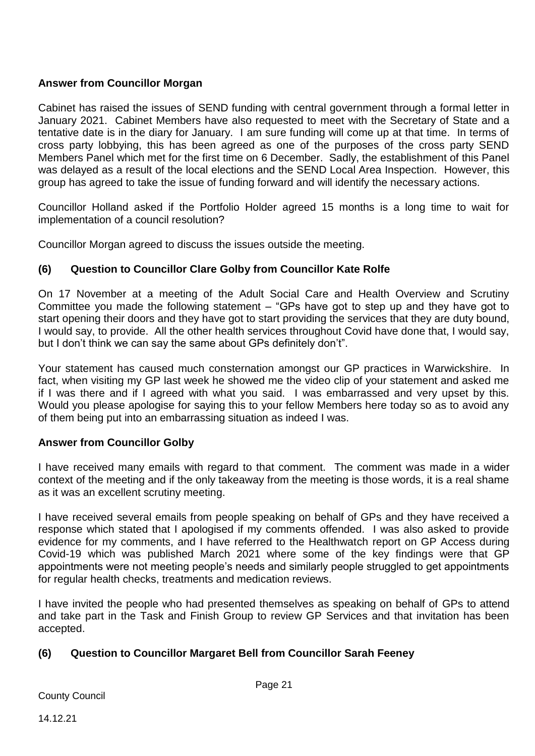## **Answer from Councillor Morgan**

Cabinet has raised the issues of SEND funding with central government through a formal letter in January 2021. Cabinet Members have also requested to meet with the Secretary of State and a tentative date is in the diary for January. I am sure funding will come up at that time. In terms of cross party lobbying, this has been agreed as one of the purposes of the cross party SEND Members Panel which met for the first time on 6 December. Sadly, the establishment of this Panel was delayed as a result of the local elections and the SEND Local Area Inspection. However, this group has agreed to take the issue of funding forward and will identify the necessary actions.

Councillor Holland asked if the Portfolio Holder agreed 15 months is a long time to wait for implementation of a council resolution?

Councillor Morgan agreed to discuss the issues outside the meeting.

## **(6) Question to Councillor Clare Golby from Councillor Kate Rolfe**

On 17 November at a meeting of the Adult Social Care and Health Overview and Scrutiny Committee you made the following statement – "GPs have got to step up and they have got to start opening their doors and they have got to start providing the services that they are duty bound, I would say, to provide. All the other health services throughout Covid have done that, I would say, but I don't think we can say the same about GPs definitely don't".

Your statement has caused much consternation amongst our GP practices in Warwickshire. In fact, when visiting my GP last week he showed me the video clip of your statement and asked me if I was there and if I agreed with what you said. I was embarrassed and very upset by this. Would you please apologise for saying this to your fellow Members here today so as to avoid any of them being put into an embarrassing situation as indeed I was.

#### **Answer from Councillor Golby**

I have received many emails with regard to that comment. The comment was made in a wider context of the meeting and if the only takeaway from the meeting is those words, it is a real shame as it was an excellent scrutiny meeting.

I have received several emails from people speaking on behalf of GPs and they have received a response which stated that I apologised if my comments offended. I was also asked to provide evidence for my comments, and I have referred to the Healthwatch report on GP Access during Covid-19 which was published March 2021 where some of the key findings were that GP appointments were not meeting people's needs and similarly people struggled to get appointments for regular health checks, treatments and medication reviews.

I have invited the people who had presented themselves as speaking on behalf of GPs to attend and take part in the Task and Finish Group to review GP Services and that invitation has been accepted.

## **(6) Question to Councillor Margaret Bell from Councillor Sarah Feeney**